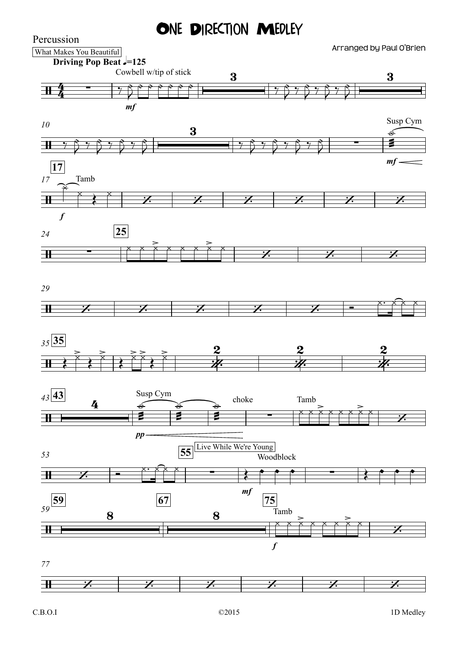ONE DIRECTION MEDLEY



Percussion